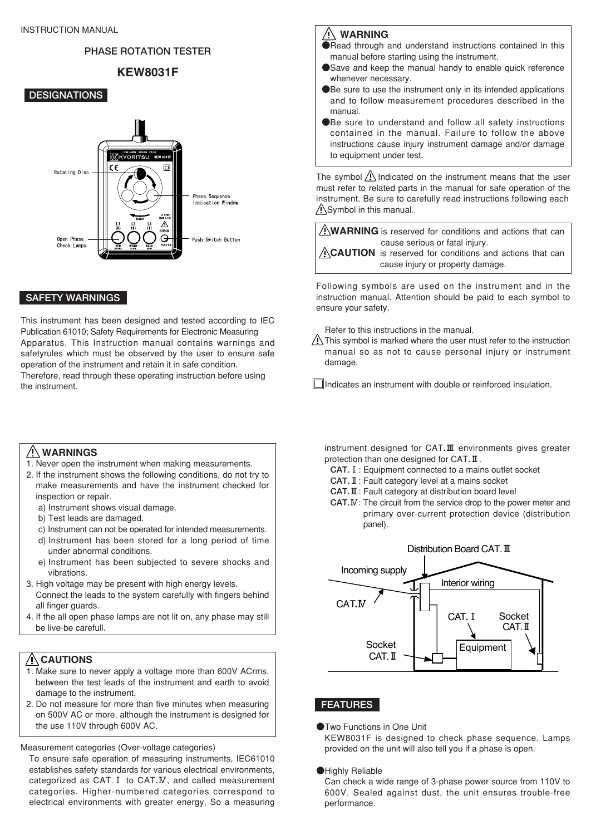## **PHASE ROTATION TESTER**

# KEW8031F

## **DESIGNATIONS**



## **SAFETY WARNINGS**

This instrument has been designed and tested according to IEC Publication 61010; Safety Requirements for Electronic Measuring Apparatus. This Instruction manual contains warnings and safetyrules which must be observed by the user to ensure safe operation of the instrument and retain it in safe condition. Therefore, read through these operating instruction before using the instrument.

## WARNINGS

- 1. Never open the instrument when making measurements.
- 2. If the instrument shows the following conditions, do not try to make measurements and have the instrument checked for inspection or repair.
	- a) Instrument shows visual damage.
	- b) Test leads are damaged.
	- c) Instrument can not be operated for intended measurements.
	- d) Instrument has been stored for a long period of time under abnormal conditions.
	- e) Instrument has been subjected to severe shocks and vibrations.
- 3. High voltage may be present with high energy levels. Connect the leads to the system carefully with fingers behind all finger guards.
- 4. If the all open phase lamps are not lit on, any phase may still be live-be carefull.

# $/$  $C$ AUTIONS

- 1. Make sure to never apply a voltage more than 600V ACrms. between the test leads of the instrument and earth to avoid damage to the instrument.
- 2. Do not measure for more than five minutes when measuring on 500V AC or more, although the instrument is designed for the use 110V through 600V AC.

Measurement categories (Over-voltage categories)

To ensure safe operation of measuring instruments, IEC61010 establishes safety standards for various electrical environments, categorized as CAT.**Ⅰ** to CAT**.Ⅳ**, and called measurement categories. Higher-numbered categories correspond to electrical environments with greater energy, So a measuring

## $\bigwedge$  WARNING

- ●Read through and understand instructions contained in this manual before starting using the instrument.
- ●Save and keep the manual handy to enable quick reference whenever necessary.
- ●Be sure to use the instrument only in its intended applications and to follow measurement procedures described in the manual.
- ●Be sure to understand and follow all safety instructions contained in the manual. Failure to follow the above instructions cause injury instrument damage and/or damage to equipment under test.

The symbol  $\bigwedge$  Indicated on the instrument means that the user must refer to related parts in the manual for safe operation of the instrument. Be sure to carefully read instructions following each A Symbol in this manual.

AWARNING is reserved for conditions and actions that can cause serious or fatal injury.

ACAUTION is reserved for conditions and actions that can cause injury or property damage.

Following symbols are used on the instrument and in the instruction manual. Attention should be paid to each symbol to ensure your safety.

Refer to this instructions in the manual.

 $\triangle$  This symbol is marked where the user must refer to the instruction manual so as not to cause personal injury or instrument damage.

 $\exists$ Indicates an instrument with double or reinforced insulation.

instrument designed for CAT.Ⅲ environments gives greater protection than one designed for CAT.Ⅱ.

- **CAT.Ⅰ**: Equipment connected to a mains outlet socket
- **CAT.Ⅱ**: Fault category level at a mains socket
- **CAT.Ⅲ**: Fault category at distribution board level
- **CAT.Ⅳ**: The circuit from the service drop to the power meter and primary over-current protection device (distribution panel).



## **FEATURES**

●Two Functions in One Unit

KEW8031F is designed to check phase sequence. Lamps provided on the unit will also tell you if a phase is open.

#### ●Highly Reliable

Can check a wide range of 3-phase power source from 110V to 600V. Sealed against dust, the unit ensures trouble-free performance.